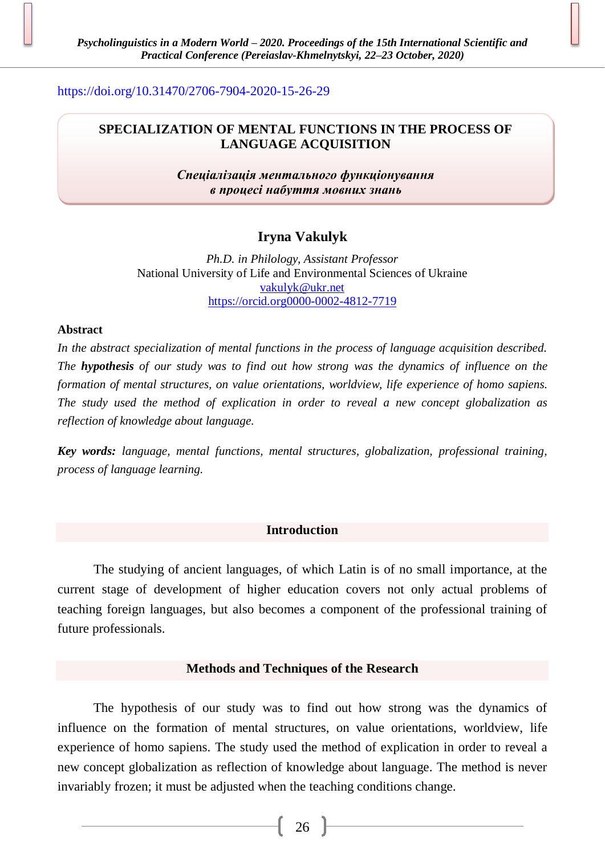<https://doi.org/10.31470/2706-7904-2020-15-26-29>

## **SPECIALIZATION OF MENTAL FUNCTIONS IN THE PROCESS OF LANGUAGE ACQUISITION**

*Спеціалізація ментального функціонування в процесі набуття мовних знань*

# **Iryna Vakulyk**

*Ph.D. in Philology, Assistant Professor* National University of Life and Environmental Sciences of Ukraine [vakulyk@ukr.net](mailto:vakulyk@ukr.net) [https://orcid.org0000-0002-4812-7719](https://orcid.org0000-0002-4812-7719/)

## **Abstract**

*In the abstract specialization of mental functions in the process of language acquisition described. The hypothesis of our study was to find out how strong was the dynamics of influence on the formation of mental structures, on value orientations, worldview, life experience of homo sapiens. The study used the method of explication in order to reveal a new concept globalization as reflection of knowledge about language.*

*Key words: language, mental functions, mental structures, globalization, professional training, process of language learning.*

## **Introduction**

The studying of ancient languages, of which Latin is of no small importance, at the current stage of development of higher education covers not only actual problems of teaching foreign languages, but also becomes a component of the professional training of future professionals.

## **Methods and Techniques of the Research**

The hypothesis of our study was to find out how strong was the dynamics of influence on the formation of mental structures, on value orientations, worldview, life experience of homo sapiens. The study used the method of explication in order to reveal a new concept globalization as reflection of knowledge about language. The method is never invariably frozen; it must be adjusted when the teaching conditions change.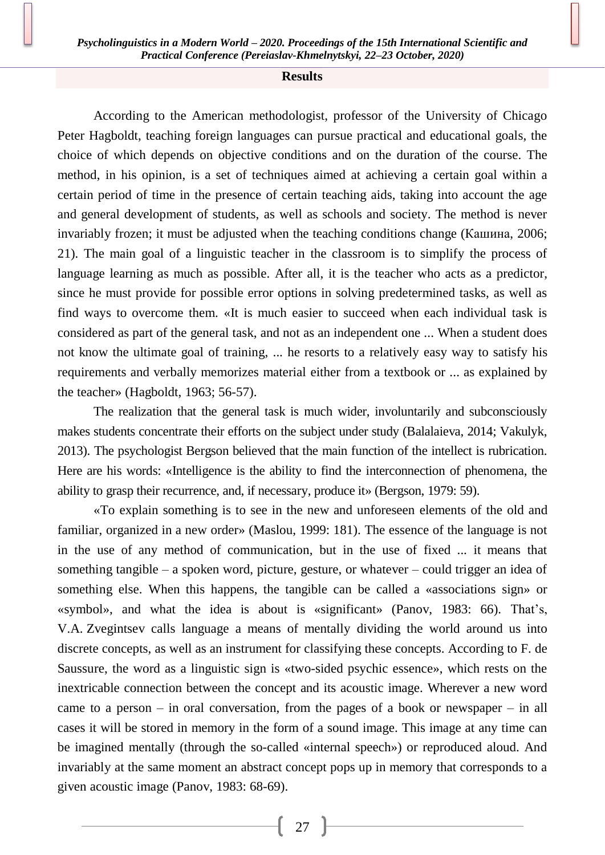### **Results**

According to the American methodologist, professor of the University of Chicago Peter Hagboldt, teaching foreign languages can pursue practical and educational goals, the choice of which depends on objective conditions and on the duration of the course. The method, in his opinion, is a set of techniques aimed at achieving a certain goal within a certain period of time in the presence of certain teaching aids, taking into account the age and general development of students, as well as schools and society. The method is never invariably frozen; it must be adjusted when the teaching conditions change (Кашина, 2006; 21). The main goal of a linguistic teacher in the classroom is to simplify the process of language learning as much as possible. After all, it is the teacher who acts as a predictor, since he must provide for possible error options in solving predetermined tasks, as well as find ways to overcome them. «It is much easier to succeed when each individual task is considered as part of the general task, and not as an independent one ... When a student does not know the ultimate goal of training, ... he resorts to a relatively easy way to satisfy his requirements and verbally memorizes material either from a textbook or ... as explained by the teacher» (Hagboldt, 1963; 56-57).

The realization that the general task is much wider, involuntarily and subconsciously makes students concentrate their efforts on the subject under study (Balalaieva, 2014; Vakulyk, 2013). The psychologist Bergson believed that the main function of the intellect is rubrication. Here are his words: «Intelligence is the ability to find the interconnection of phenomena, the ability to grasp their recurrence, and, if necessary, produce it» (Bergson, 1979: 59).

«To explain something is to see in the new and unforeseen elements of the old and familiar, organized in a new order» (Maslou, 1999: 181). The essence of the language is not in the use of any method of communication, but in the use of fixed ... it means that something tangible – a spoken word, picture, gesture, or whatever – could trigger an idea of something else. When this happens, the tangible can be called a «associations sign» or «symbol», and what the idea is about is «significant» (Panov, 1983: 66). That's, V.A. Zvegintsev calls language a means of mentally dividing the world around us into discrete concepts, as well as an instrument for classifying these concepts. According to F. de Saussure, the word as a linguistic sign is «two-sided psychic essence», which rests on the inextricable connection between the concept and its acoustic image. Wherever a new word came to a person – in oral conversation, from the pages of a book or newspaper – in all cases it will be stored in memory in the form of a sound image. This image at any time can be imagined mentally (through the so-called «internal speech») or reproduced aloud. And invariably at the same moment an abstract concept pops up in memory that corresponds to a given acoustic image (Panov, 1983: 68-69).

27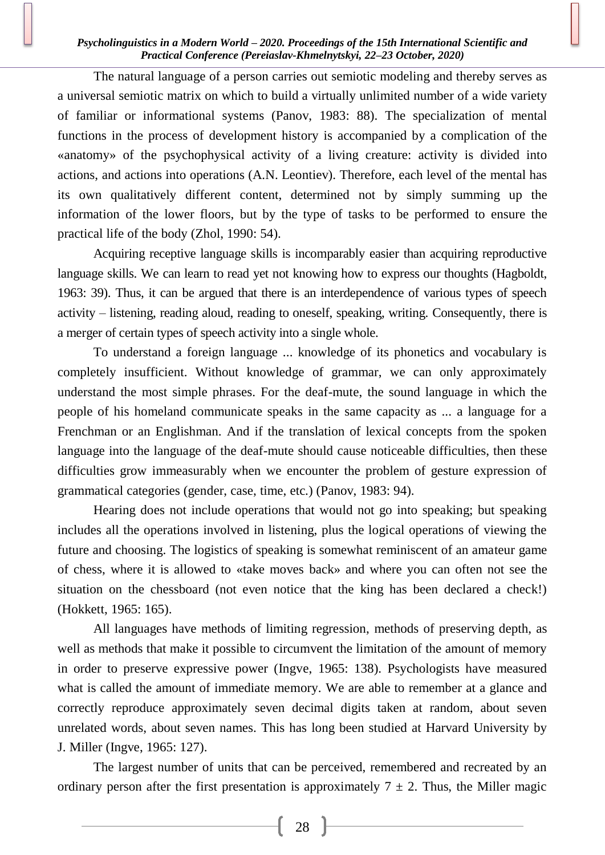### *Psycholinguistics in a Modern World – 2020. Proceedings of the 15th International Scientific and Practical Conference (Pereiaslav-Khmelnytskyi, 22–23 October, 2020)*

The natural language of a person carries out semiotic modeling and thereby serves as a universal semiotic matrix on which to build a virtually unlimited number of a wide variety of familiar or informational systems (Panov, 1983: 88). The specialization of mental functions in the process of development history is accompanied by a complication of the «anatomy» of the psychophysical activity of a living creature: activity is divided into actions, and actions into operations (A.N. Leontiev). Therefore, each level of the mental has its own qualitatively different content, determined not by simply summing up the information of the lower floors, but by the type of tasks to be performed to ensure the practical life of the body (Zhol, 1990: 54).

Acquiring receptive language skills is incomparably easier than acquiring reproductive language skills. We can learn to read yet not knowing how to express our thoughts (Hagboldt, 1963: 39). Thus, it can be argued that there is an interdependence of various types of speech activity – listening, reading aloud, reading to oneself, speaking, writing. Consequently, there is a merger of certain types of speech activity into a single whole.

To understand a foreign language ... knowledge of its phonetics and vocabulary is completely insufficient. Without knowledge of grammar, we can only approximately understand the most simple phrases. For the deaf-mute, the sound language in which the people of his homeland communicate speaks in the same capacity as ... a language for a Frenchman or an Englishman. And if the translation of lexical concepts from the spoken language into the language of the deaf-mute should cause noticeable difficulties, then these difficulties grow immeasurably when we encounter the problem of gesture expression of grammatical categories (gender, case, time, etc.) (Panov, 1983: 94).

Hearing does not include operations that would not go into speaking; but speaking includes all the operations involved in listening, plus the logical operations of viewing the future and choosing. The logistics of speaking is somewhat reminiscent of an amateur game of chess, where it is allowed to «take moves back» and where you can often not see the situation on the chessboard (not even notice that the king has been declared a check!) (Hokkett, 1965: 165).

All languages have methods of limiting regression, methods of preserving depth, as well as methods that make it possible to circumvent the limitation of the amount of memory in order to preserve expressive power (Ingve, 1965: 138). Psychologists have measured what is called the amount of immediate memory. We are able to remember at a glance and correctly reproduce approximately seven decimal digits taken at random, about seven unrelated words, about seven names. This has long been studied at Harvard University by J. Miller (Ingve, 1965: 127).

The largest number of units that can be perceived, remembered and recreated by an ordinary person after the first presentation is approximately  $7 \pm 2$ . Thus, the Miller magic